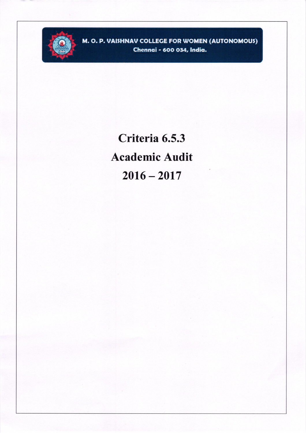

M. O. P. VAISHNAV COLLEGE FOR WOMEN (AUTONOMOUS) Chennai - 600 034, India.

> Criteria 6.5.3 **Academic Audit**  $2016 - 2017$